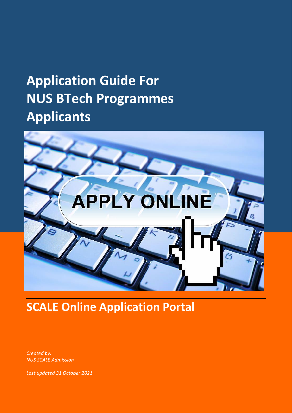# **Application Guide For NUS BTech Programmes Applicants**



**SCALE Online Application Portal**

*Created by: NUS SCALE Admission*

*Last updated 31 October 2021*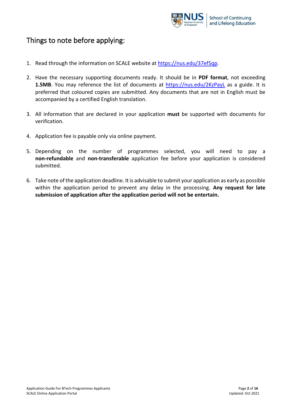

## Things to note before applying:

- 1. Read through the information on SCALE website at [https://nus.edu/37efSqp.](https://nus.edu/37efSqp)
- 2. Have the necessary supporting documents ready. It should be in **PDF format**, not exceeding 1.5MB. You may reference the list of documents at <https://nus.edu/2KzPayL> as a guide. It is preferred that coloured copies are submitted. Any documents that are not in English must be accompanied by a certified English translation.
- 3. All information that are declared in your application **must** be supported with documents for verification.
- 4. Application fee is payable only via online payment.
- 5. Depending on the number of programmes selected, you will need to pay a **non-refundable** and **non-transferable** application fee before your application is considered submitted.
- 6. Take note of the application deadline. It is advisable to submit your application as early as possible within the application period to prevent any delay in the processing. **Any request for late submission of application after the application period will not be entertain.**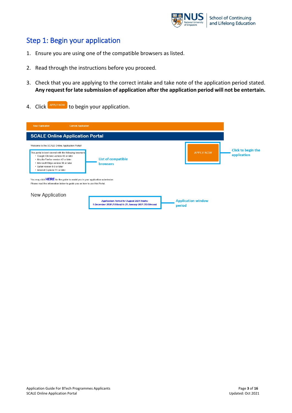

## Step 1: Begin your application

- 1. Ensure you are using one of the compatible browsers as listed.
- 2. Read through the instructions before you proceed.
- 3. Check that you are applying to the correct intake and take note of the application period stated. **Any request for late submission of application after the application period will not be entertain.**
- 4. Click **APPLY NOW** to begin your application.

| <b>New Application</b><br><b>Current Application</b>                                                                                                                                                                                                                                                                                                                                                                                                                 |                                                                                                              |                                     |                                   |
|----------------------------------------------------------------------------------------------------------------------------------------------------------------------------------------------------------------------------------------------------------------------------------------------------------------------------------------------------------------------------------------------------------------------------------------------------------------------|--------------------------------------------------------------------------------------------------------------|-------------------------------------|-----------------------------------|
| <b>SCALE Online Application Portal</b>                                                                                                                                                                                                                                                                                                                                                                                                                               |                                                                                                              |                                     |                                   |
| Welcome to the SCALE Online Application Portal!<br>This portal is best viewed with the following browsers<br>• Google Chrome version 43 or later<br>. Mozilla Firefox version 42 or later<br>• Microsoft Edge version 38 or later<br>· Safari version 9.0 or later<br>• Internet Explorer 11 or later<br>You may click HERE for the guide to assist you in your application submission.<br>Please read the information below to quide you on how to use this Portal. | List of compatible<br><b>browsers</b>                                                                        | <b>APPLY NOW</b>                    | Click to begin the<br>application |
| New Application                                                                                                                                                                                                                                                                                                                                                                                                                                                      |                                                                                                              |                                     |                                   |
|                                                                                                                                                                                                                                                                                                                                                                                                                                                                      | <b>Application Period for August 2021 Intake:</b><br>1 December 2020 (1:00am) to 29 January 2021 (12:00noon) | <b>Application window</b><br>period |                                   |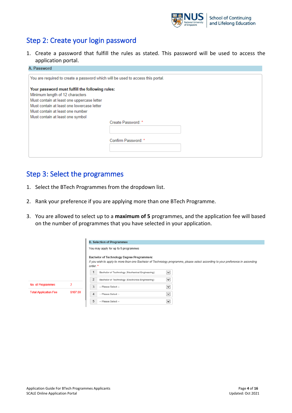

# Step 2: Create your login password

1. Create a password that fulfill the rules as stated. This password will be used to access the application portal.

| A. Password                                                                                                                                                                                                        |                     |  |  |  |  |  |
|--------------------------------------------------------------------------------------------------------------------------------------------------------------------------------------------------------------------|---------------------|--|--|--|--|--|
| You are required to create a password which will be used to access this portal.                                                                                                                                    |                     |  |  |  |  |  |
| Your password must fulfill the following rules:<br>Minimum length of 12 characters<br>Must contain at least one uppercase letter<br>Must contain at least one lowercase letter<br>Must contain at least one number |                     |  |  |  |  |  |
| Must contain at least one symbol                                                                                                                                                                                   | Create Password: *  |  |  |  |  |  |
|                                                                                                                                                                                                                    |                     |  |  |  |  |  |
|                                                                                                                                                                                                                    | Confirm Password: * |  |  |  |  |  |

## Step 3: Select the programmes

- 1. Select the BTech Programmes from the dropdown list.
- 2. Rank your preference if you are applying more than one BTech Programme.
- 3. You are allowed to select up to a **maximum of 5** programmes, and the application fee will based on the number of programmes that you have selected in your application.

|                              |          | <b>B. Selection of Programmes</b> |                                                  |                       |                                                                                                                                 |  |  |  |  |
|------------------------------|----------|-----------------------------------|--------------------------------------------------|-----------------------|---------------------------------------------------------------------------------------------------------------------------------|--|--|--|--|
|                              |          |                                   | You may apply for up to 5 programmes             |                       |                                                                                                                                 |  |  |  |  |
|                              |          | order. *                          | Bachelor of Technology Degree Programme/s:       |                       | If you wish to apply to more than one Bachelor of Technology programme, please select according to your preference in ascending |  |  |  |  |
|                              |          |                                   | Bachelor of Technology (Mechanical Engineering)  | $\checkmark$          |                                                                                                                                 |  |  |  |  |
|                              |          | $\overline{2}$                    | Bachelor of Technology (Electronics Engineering) | $\checkmark$          |                                                                                                                                 |  |  |  |  |
| No. of Programmes            | 2        | 3                                 | -- Please Select --                              | $\vert\bm{\vee}\vert$ |                                                                                                                                 |  |  |  |  |
| <b>Total Application Fee</b> | \$107.00 | $\overline{4}$                    | -- Please Select --                              | $\vert \vee \vert$    |                                                                                                                                 |  |  |  |  |
|                              |          | 5                                 | -- Please Select --                              | $\vert \vee \vert$    |                                                                                                                                 |  |  |  |  |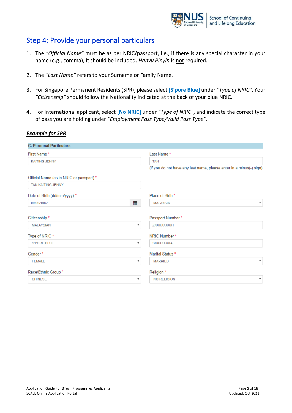

## Step 4: Provide your personal particulars

- 1. The *"Official Name"* must be as per NRIC/passport, i.e., if there is any special character in your name (e.g., comma), it should be included. *Hanyu Pinyin* is not required.
- 2. The *"Last Name"* refers to your Surname or Family Name.
- 3. For Singapore Permanent Residents (SPR), please select **[S'pore Blue]** under *"Type of NRIC"*. Your *"Citizenship"* should follow the Nationality indicated at the back of your blue NRIC.
- 4. For International applicant, select **[No NRIC]** under *"Type of NRIC"*, and indicate the correct type of pass you are holding under *"Employment Pass Type/Valid Pass Type"*.

#### *Example for SPR*

| <b>C. Personal Particulars</b>           |                           |                                                                     |
|------------------------------------------|---------------------------|---------------------------------------------------------------------|
| First Name*                              |                           | Last Name*                                                          |
| <b>KAITING JENNY</b>                     |                           | <b>TAN</b>                                                          |
|                                          |                           | (if you do not have any last name, please enter in a minus(-) sign) |
| Official Name (as in NRIC or passport) * |                           |                                                                     |
| <b>TAN KAITING JENNY</b>                 |                           |                                                                     |
| Date of Birth (dd/mm/yyyy) *             |                           | Place of Birth *                                                    |
| 09/06/1982                               | m                         | v<br><b>MALAYSIA</b>                                                |
| Citizenship*                             |                           | Passport Number*                                                    |
| <b>MALAYSIAN</b>                         | ▼                         | ZXXXXXXXXT                                                          |
| Type of NRIC *                           |                           | NRIC Number*                                                        |
| <b>S'PORE BLUE</b>                       | $\boldsymbol{\mathrm{v}}$ | SXXXXXXXA                                                           |
| Gender*                                  |                           | Marital Status *                                                    |
| <b>FEMALE</b>                            | v                         | $\mathbf{v}$<br><b>MARRIED</b>                                      |
| Race/Ethnic Group *                      |                           | Religion *                                                          |
| <b>CHINESE</b>                           | v                         | <b>NO RELIGION</b><br>$\boldsymbol{\mathrm{v}}$                     |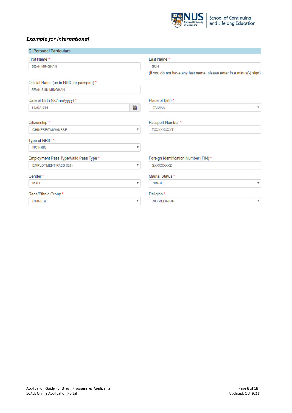

## *Example for International*

| <b>C. Personal Particulars</b>           |                           |                                                                     |
|------------------------------------------|---------------------------|---------------------------------------------------------------------|
| First Name*                              |                           | Last Name*                                                          |
| <b>SEAN MINGHAN</b>                      |                           | <b>SUN</b>                                                          |
|                                          |                           | (if you do not have any last name, please enter in a minus(-) sign) |
| Official Name (as in NRIC or passport) * |                           |                                                                     |
| <b>SEAN SUN MINGHAN</b>                  |                           |                                                                     |
| Date of Birth (dd/mm/yyyy) *             |                           | Place of Birth *                                                    |
| 14/08/1986                               | iii                       | v<br><b>TAIWAN</b>                                                  |
| Citizenship*                             |                           | Passport Number*                                                    |
| CHINESE/TAIWANESE                        | $\boldsymbol{\mathrm{v}}$ | ZXXXXXXXXT                                                          |
| Type of NRIC*                            |                           |                                                                     |
| <b>NO NRIC</b>                           | $\overline{\mathbf{v}}$   |                                                                     |
| Employment Pass Type/Valid Pass Type *   |                           | Foreign Identification Number (FIN) *                               |
| EMPLOYMENT PASS (Q1)                     | $\boldsymbol{\mathrm{v}}$ | GXXXXXXXZ                                                           |
| Gender*                                  |                           | Marital Status *                                                    |
| <b>MALE</b>                              | $\boldsymbol{\mathrm{v}}$ | <b>SINGLE</b><br>v                                                  |
| Race/Ethnic Group*                       |                           | Religion *                                                          |
| <b>CHINESE</b>                           | $\boldsymbol{\mathrm{v}}$ | v<br><b>NO RELIGION</b>                                             |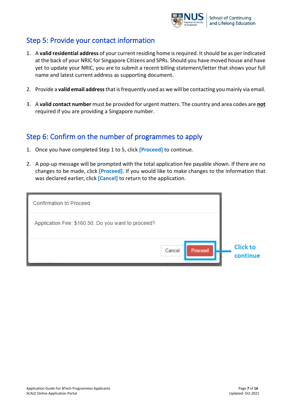

## Step 5: Provide your contact information

- 1. A **valid residential address** of your current residing home is required. It should be as per indicated at the back of your NRIC for Singapore Citizens and SPRs. Should you have moved house and have yet to update your NRIC, you are to submit a recent billing statement/letter that shows your full name and latest current address as supporting document.
- 2. Provide a **valid email address**that is frequently used as we will be contacting you mainly via email.
- 3. A **valid contact number** must be provided for urgent matters. The country and area codes are **not** required if you are providing a Singapore number.

## Step 6: Confirm on the number of programmes to apply

- 1. Once you have completed Step 1 to 5, click **[Proceed]** to continue.
- 2. A pop-up message will be prompted with the total application fee payable shown. If there are no changes to be made, click **[Proceed]**. If you would like to make changes to the information that was declared earlier, click **[Cancel]** to return to the application.

| <b>Confirmation to Proceed</b>                     |        |         |                             |
|----------------------------------------------------|--------|---------|-----------------------------|
| Application Fee: \$160.50. Do you want to proceed? |        |         |                             |
|                                                    | Cancel | Proceed | <b>Click to</b><br>continue |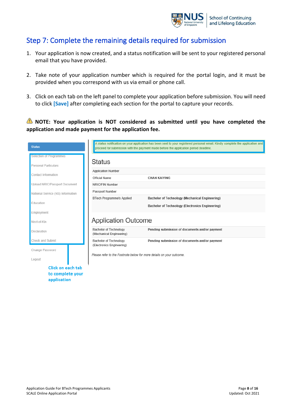

# Step 7: Complete the remaining details required for submission

- 1. Your application is now created, and a status notification will be sent to your registered personal email that you have provided.
- 2. Take note of your application number which is required for the portal login, and it must be provided when you correspond with us via email or phone call.
- 3. Click on each tab on the left panel to complete your application before submission. You will need to click **[Save]** after completing each section for the portal to capture your records.

**NOTE: Your application is NOT considered as submitted until you have completed the application and made payment for the application fee.** 

| <b>Status</b>                     |                                                                      | A status notification on your application has been sent to your registered personal email. Kindly complete the application and<br>proceed for submission with the payment made before the application period deadline. |
|-----------------------------------|----------------------------------------------------------------------|------------------------------------------------------------------------------------------------------------------------------------------------------------------------------------------------------------------------|
| Selection of Programmes           |                                                                      |                                                                                                                                                                                                                        |
| <b>Personal Particulars</b>       | <b>Status</b>                                                        |                                                                                                                                                                                                                        |
| Contact Information               | <b>Application Number</b>                                            |                                                                                                                                                                                                                        |
|                                   | Official Name                                                        | <b>CHAN KAIYING</b>                                                                                                                                                                                                    |
| Upload NRIC/Passport Document     | NRIC/FIN Number                                                      |                                                                                                                                                                                                                        |
| National Service (NS) Information | Passport Number                                                      |                                                                                                                                                                                                                        |
|                                   | <b>BTech Programme/s Applied</b>                                     | Bachelor of Technology (Mechanical Engineering)                                                                                                                                                                        |
| Education                         |                                                                      | Bachelor of Technology (Electronics Engineering)                                                                                                                                                                       |
| Employment                        |                                                                      |                                                                                                                                                                                                                        |
| Next-of-Kin                       | <b>Application Outcome</b>                                           |                                                                                                                                                                                                                        |
| Declaration                       | <b>Bachelor of Technology</b><br>(Mechanical Engineering)            | Pending submission of documents and/or payment                                                                                                                                                                         |
| Check and Submit                  | <b>Bachelor of Technology</b>                                        | Pending submission of documents and/or payment                                                                                                                                                                         |
| Change Password                   | (Electronics Engineering)                                            |                                                                                                                                                                                                                        |
|                                   | Please refer to the Footnote below for more details on your outcome. |                                                                                                                                                                                                                        |
| Logout                            |                                                                      |                                                                                                                                                                                                                        |
| Click on each tab                 |                                                                      |                                                                                                                                                                                                                        |
| to complete your                  |                                                                      |                                                                                                                                                                                                                        |
| application                       |                                                                      |                                                                                                                                                                                                                        |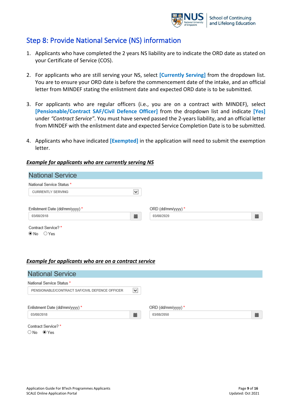

## Step 8: Provide National Service (NS) information

- 1. Applicants who have completed the 2 years NS liability are to indicate the ORD date as stated on your Certificate of Service (COS).
- 2. For applicants who are still serving your NS, select **[Currently Serving]** from the dropdown list. You are to ensure your ORD date is before the commencement date of the intake, and an official letter from MINDEF stating the enlistment date and expected ORD date is to be submitted.
- 3. For applicants who are regular officers (i.e., you are on a contract with MINDEF), select **[Pensionable/Contract SAF/Civil Defence Officer]** from the dropdown list and indicate **[Yes]** under *"Contract Service"*. You must have served passed the 2-years liability, and an official letter from MINDEF with the enlistment date and expected Service Completion Date is to be submitted.
- 4. Applicants who have indicated **[Exempted]** in the application will need to submit the exemption letter.

#### *Example for applicants who are currently serving NS*

| <b>National Service</b>              |              |                    |   |
|--------------------------------------|--------------|--------------------|---|
| National Service Status *            |              |                    |   |
| <b>CURRENTLY SERVING</b>             | $\checkmark$ |                    |   |
|                                      |              |                    |   |
| Enlistment Date (dd/mm/yyyy) *       |              | ORD (dd/mm/yyyy) * |   |
| 03/08/2018                           | 藟            | 03/08/2020         | 篇 |
| Contract Service?*<br>$@$ No $@$ Yes |              |                    |   |

#### *Example for applicants who are on a contract service*

| <b>National Service</b>                        |              |                    |   |
|------------------------------------------------|--------------|--------------------|---|
| National Service Status *                      |              |                    |   |
| PENSIONABLE/CONTRACT SAF/CIVIL DEFENCE OFFICER | $\checkmark$ |                    |   |
|                                                |              |                    |   |
| Enlistment Date (dd/mm/yyyy) *                 |              | ORD (dd/mm/yyyy) * |   |
| 03/08/2018                                     | 藟            | 03/08/2050         | 藟 |
| Contract Service?*                             |              |                    |   |
| $\bigcirc$ No $\bigcirc$ Yes                   |              |                    |   |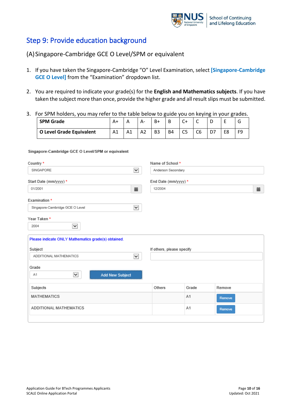

## Step 9: Provide education background

## (A)Singapore-Cambridge GCE O Level/SPM or equivalent

- 1. If you have taken the Singapore-Cambridge "O" Level Examination, select **[Singapore-Cambridge GCE O Level]** from the "Examination" dropdown list.
- 2. You are required to indicate your grade(s) for the **English and Mathematics subjects**. If you have taken the subject more than once, provide the higher grade and all result slips must be submitted.
- 3. For SPM holders, you may refer to the table below to guide you on keying in your grades.

| <b>SPM Grade</b>         | A+ |    | Δ.             | B+             | B         | $\sim$ | $\overline{\phantom{0}}$ | ∽ |    |
|--------------------------|----|----|----------------|----------------|-----------|--------|--------------------------|---|----|
| O Level Grade Equivalent | A1 | A1 | A <sub>2</sub> | B <sub>3</sub> | <b>B4</b> | C5     | C6                       |   | FQ |

#### Singapore-Cambridge GCE O Level/SPM or equivalent

| Country *                                           |                          | Name of School *          |       |        |  |  |
|-----------------------------------------------------|--------------------------|---------------------------|-------|--------|--|--|
| SINGAPORE                                           | Anderson Secondary       |                           |       |        |  |  |
| Start Date (mm/yyyy) *                              |                          | End Date (mm/yyyy) *      |       |        |  |  |
| 01/2001                                             | 藟                        | 12/2004                   |       | 藟      |  |  |
| Examination *                                       |                          |                           |       |        |  |  |
| Singapore-Cambridge GCE O Level                     | $\overline{\phantom{0}}$ |                           |       |        |  |  |
| Year Taken*                                         |                          |                           |       |        |  |  |
| $\checkmark$<br>2004                                |                          |                           |       |        |  |  |
| Please indicate ONLY Mathematics grade(s) obtained. |                          |                           |       |        |  |  |
| Subject                                             |                          | If others, please specify |       |        |  |  |
| ADDITIONAL MATHEMATICS                              | $\overline{\phantom{0}}$ |                           |       |        |  |  |
| Grade                                               |                          |                           |       |        |  |  |
| $\checkmark$<br>A1<br><b>Add New Subject</b>        |                          |                           |       |        |  |  |
| Subjects                                            |                          | Others                    | Grade | Remove |  |  |
| <b>MATHEMATICS</b>                                  |                          |                           | A1    | Remove |  |  |
| ADDITIONAL MATHEMATICS                              |                          |                           | A1    | Remove |  |  |
|                                                     |                          |                           |       |        |  |  |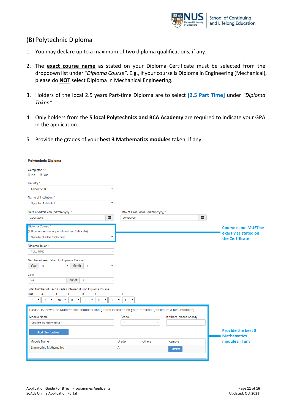

#### (B) Polytechnic Diploma

- 1. You may declare up to a maximum of two diploma qualifications, if any.
- 2. The **exact course name** as stated on your Diploma Certificate must be selected from the dropdown list under *"Diploma Course"*. E.g., if your course is Diploma in Engineering (Mechanical), please do **NOT** select Diploma in Mechanical Engineering.
- 3. Holders of the local 2.5 years Part-time Diploma are to select **[2.5 Part Time]** under *"Diploma Taken"*.
- 4. Only holders from the **5 local Polytechnics and BCA Academy** are required to indicate your GPA in the application.
- 5. Provide the grades of your **best 3 Mathematics modules** taken, if any.

| <b>Polytechnic Diploma</b>                                                                                                                                                    |                                                                |                                   |                           |   |                            |
|-------------------------------------------------------------------------------------------------------------------------------------------------------------------------------|----------------------------------------------------------------|-----------------------------------|---------------------------|---|----------------------------|
| Completed?*<br>No Yes                                                                                                                                                         |                                                                |                                   |                           |   |                            |
| Country <sup>*</sup>                                                                                                                                                          |                                                                |                                   |                           |   |                            |
| <b>SINGAPORE</b><br>v                                                                                                                                                         |                                                                |                                   |                           |   |                            |
| Name of Institution *                                                                                                                                                         |                                                                |                                   |                           |   |                            |
| Ngee Ann Polytechnic<br>$\boldsymbol{\mathrm{v}}$                                                                                                                             |                                                                |                                   |                           |   |                            |
| Date of Admission (dd/mm/yyyy) *                                                                                                                                              |                                                                | Date of Graduation (dd/mm/yyyy) * |                           |   |                            |
| Ë<br>20/05/2005                                                                                                                                                               | 20/05/2008                                                     |                                   |                           | 藟 |                            |
| Diploma Course*                                                                                                                                                               |                                                                |                                   |                           |   | <b>Course name MUST be</b> |
| (full course name as per stated on Certificate)                                                                                                                               |                                                                |                                   |                           |   | exactly as stated on       |
| Dip In Mechanical Engineering<br>▼                                                                                                                                            |                                                                |                                   |                           |   | the Certificate            |
| Diploma Taken*                                                                                                                                                                |                                                                |                                   |                           |   |                            |
| <b>FULL TIME</b><br>v                                                                                                                                                         |                                                                |                                   |                           |   |                            |
| Number of Year Taken for Diploma Course *                                                                                                                                     |                                                                |                                   |                           |   |                            |
| Month<br>Year<br>$\mathbf{0}$<br>$\overline{3}$<br>۳<br>$\boldsymbol{\mathrm{v}}$                                                                                             |                                                                |                                   |                           |   |                            |
| <b>GPA</b>                                                                                                                                                                    |                                                                |                                   |                           |   |                            |
| out of<br>3.6<br>$\overline{4}$<br>$\overline{\mathbf{v}}$                                                                                                                    |                                                                |                                   |                           |   |                            |
| Total Number of Each Grade Obtained during Diploma Course                                                                                                                     |                                                                |                                   |                           |   |                            |
| А<br>В<br>C<br>D<br>Ε<br>F<br><b>Dist</b>                                                                                                                                     | P                                                              |                                   |                           |   |                            |
| $\pmb{\mathrm{v}}$<br>▼<br>$\pmb{\mathrm{v}}$<br>$\mathbf{7}$<br>$13 - 7$<br>۷.<br>$\mathbf 0$<br>$\bf{0}$<br>$\pmb{\mathrm{v}}$<br>$\bf{0}$<br>$\overline{2}$<br>$\mathbf 0$ | $\pmb{\mathrm{v}}$<br>$\mathbf{0}$<br>$\overline{\phantom{a}}$ |                                   |                           |   |                            |
| Please list down the Mathematics modules and grades indicated on your transcript (maximum 3 best modules)                                                                     |                                                                |                                   |                           |   |                            |
| <b>Module Name</b>                                                                                                                                                            | Grade                                                          |                                   | If others, please specify |   |                            |
| <b>Engineering Mathematics II</b>                                                                                                                                             | $\overline{\mathsf{A}}$                                        | $\overline{\mathbf{v}}$           |                           |   |                            |
| <b>Add New Subject</b>                                                                                                                                                        |                                                                |                                   |                           |   | <b>Provide the best 3</b>  |
|                                                                                                                                                                               |                                                                |                                   |                           |   | <b>Mathematics</b>         |
| Module Name                                                                                                                                                                   | Grade                                                          | Others                            | Remove                    |   | modules, if any            |
| <b>Engineering Mathematics I</b>                                                                                                                                              | Α                                                              |                                   | Remove                    |   |                            |
|                                                                                                                                                                               |                                                                |                                   |                           |   |                            |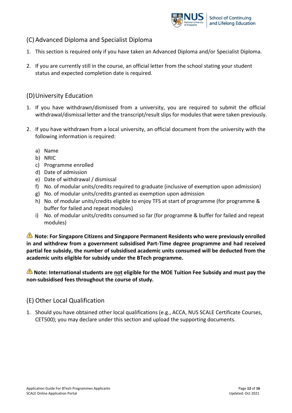

## (C) Advanced Diploma and Specialist Diploma

- 1. This section is required only if you have taken an Advanced Diploma and/or Specialist Diploma.
- 2. If you are currently still in the course, an official letter from the school stating your student status and expected completion date is required.

## (D)University Education

- 1. If you have withdrawn/dismissed from a university, you are required to submit the official withdrawal/dismissal letter and the transcript/result slips for modules that were taken previously.
- 2. If you have withdrawn from a local university, an official document from the university with the following information is required:
	- a) Name
	- b) NRIC
	- c) Programme enrolled
	- d) Date of admission
	- e) Date of withdrawal / dismissal
	- f) No. of modular units/credits required to graduate (inclusive of exemption upon admission)
	- g) No. of modular units/credits granted as exemption upon admission
	- h) No. of modular units/credits eligible to enjoy TFS at start of programme (for programme & buffer for failed and repeat modules)
	- i) No. of modular units/credits consumed so far (for programme & buffer for failed and repeat modules)

**Note: For Singapore Citizens and Singapore Permanent Residents who were previously enrolled in and withdrew from a government subsidised Part-Time degree programme and had received partial fee subsidy, the number of subsidised academic units consumed will be deducted from the academic units eligible for subsidy under the BTech programme.**

**Note: International students are not eligible for the MOE Tuition Fee Subsidy and must pay the non-subsidised fees throughout the course of study.**

#### (E) Other Local Qualification

1. Should you have obtained other local qualifications (e.g., ACCA, NUS SCALE Certificate Courses, CET500); you may declare under this section and upload the supporting documents.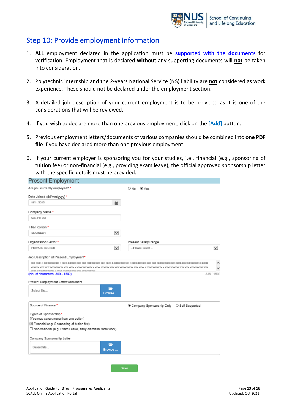

## Step 10: Provide employment information

- 1. **ALL** employment declared in the application must be **[supported with the documents](https://scale.nus.edu.sg/programmes/undergraduate-programmes/how-to-apply)** for verification. Employment that is declared **without** any supporting documents will **not** be taken into consideration.
- 2. Polytechnic internship and the 2-years National Service (NS) liability are **not** considered as work experience. These should not be declared under the employment section.
- 3. A detailed job description of your current employment is to be provided as it is one of the considerations that will be reviewed.
- 4. If you wish to declare more than one previous employment, click on the **[Add]** button.
- 5. Previous employment letters/documents of various companies should be combined into **one PDF file** if you have declared more than one previous employment.
- 6. If your current employer is sponsoring you for your studies, i.e., financial (e.g., sponsoring of tuition fee) or non-financial (e.g., providing exam leave), the official approved sponsorship letter with the specific details must be provided.

| <b>Present Employment</b>                                                                     |                         |                                           |              |
|-----------------------------------------------------------------------------------------------|-------------------------|-------------------------------------------|--------------|
| Are you currently employed? *                                                                 |                         | O No<br>® Yes                             |              |
| Date Joined (dd/mm/yyyy) *                                                                    |                         |                                           |              |
| 18/11/2015                                                                                    | 苗                       |                                           |              |
| Company Name *                                                                                |                         |                                           |              |
| ABB Pte Ltd                                                                                   |                         |                                           |              |
| Title/Position *                                                                              |                         |                                           |              |
| <b>ENGINEER</b>                                                                               | $\checkmark$            |                                           |              |
| Organization Sector *                                                                         |                         | Present Salary Range                      |              |
| PRIVATE SECTOR                                                                                | $\overline{\mathbf{v}}$ | -- Please Select-                         | $\checkmark$ |
| Job Description of Present Employment*                                                        |                         |                                           |              |
|                                                                                               |                         |                                           |              |
|                                                                                               |                         |                                           |              |
|                                                                                               |                         |                                           |              |
| WWW. W MARKARANDARY W WARM MARKATA WAS WANTED-MARKARANDARY<br>(No. of characters: 300 - 1500) |                         |                                           |              |
|                                                                                               |                         |                                           | 336 / 1500   |
| Present Employment Letter/Document<br>Select file                                             | -<br>Browse             |                                           |              |
| Source of Finance *                                                                           |                         | Company Sponsorship Only C Self Supported |              |
| Types of Sponsorship*                                                                         |                         |                                           |              |
| (You may select more than one option)                                                         |                         |                                           |              |
| Financial (e.g. Sponsoring of tuition fee)                                                    |                         |                                           |              |
| $\Box$ Non-financial (e.g. Exam Leave, early dismissal from work)                             |                         |                                           |              |
| Company Sponsorship Letter                                                                    |                         |                                           |              |

Save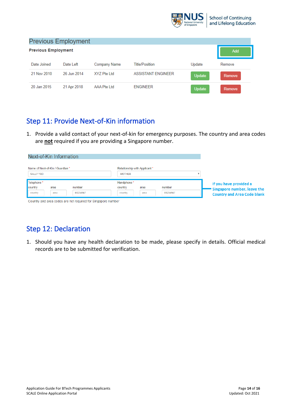

|                            | <b>Previous Employment</b> |              |                           |               |        |
|----------------------------|----------------------------|--------------|---------------------------|---------------|--------|
| <b>Previous Employment</b> |                            |              |                           |               | Add    |
| Date Joined                | Date Left                  | Company Name | <b>Title/Position</b>     | Update        | Remove |
| 21 Nov 2010                | 26 Jun 2014                | XYZ Pte Ltd  | <b>ASSISTANT ENGINEER</b> | <b>Update</b> | Remove |
| 20 Jan 2015                | 21 Apr 2018                | AAA Pte Ltd  | <b>ENGINEER</b>           | Update        | Remove |

## Step 11: Provide Next-of-Kin information

1. Provide a valid contact of your next-of-kin for emergency purposes. The country and area codes are **not** required if you are providing a Singapore number.

|                                   | Next-of-Kin Information          |                                                              |                       |                               |          |                                                                   |
|-----------------------------------|----------------------------------|--------------------------------------------------------------|-----------------------|-------------------------------|----------|-------------------------------------------------------------------|
| <b>SALLY YEO</b>                  | Name of Next-of-Kin / Guardian * |                                                              | <b>MOTHER</b>         | Relationship with Applicant * |          |                                                                   |
| Telephone <sup>*</sup><br>country |                                  | number                                                       | Handphone*<br>country |                               | number   | If you have provided a                                            |
| country                           | area<br>area                     | 61234567                                                     | country               | area<br>area                  | 81234567 | Singapore number, leave the<br><b>Country and Area Code blank</b> |
|                                   |                                  | Country and area codes are not required for Singapore number |                       |                               |          |                                                                   |

# Step 12: Declaration

1. Should you have any health declaration to be made, please specify in details. Official medical records are to be submitted for verification.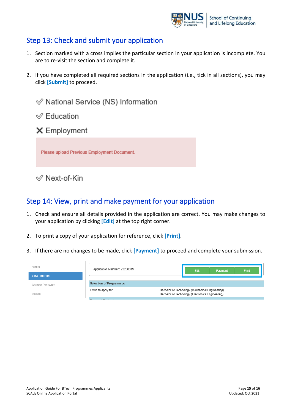

## Step 13: Check and submit your application

- 1. Section marked with a cross implies the particular section in your application is incomplete. You are to re-visit the section and complete it.
- 2. If you have completed all required sections in the application (i.e., tick in all sections), you may click **[Submit]** to proceed.

 $\mathcal Q$  National Service (NS) Information  $\mathcal{Q}$  Education X Employment Please upload Previous Employment Document.

 $\mathcal Q$  Next-of-Kin

## Step 14: View, print and make payment for your application

- 1. Check and ensure all details provided in the application are correct. You may make changes to your application by clicking **[Edit]** at the top right corner.
- 2. To print a copy of your application for reference, click **[Print]**.
- 3. If there are no changes to be made, click **[Payment]** to proceed and complete your submission.

| <b>Status</b><br><b>View and Print</b> | Application Number: 20200019   | Edit                                                                                                | Payment | <b>Print</b> |
|----------------------------------------|--------------------------------|-----------------------------------------------------------------------------------------------------|---------|--------------|
| Change Password                        | <b>Selection of Programmes</b> |                                                                                                     |         |              |
| Logout                                 | I wish to apply for            | Bachelor of Technology (Mechanical Engineering)<br>Bachelor of Technology (Electronics Engineering) |         |              |
|                                        | $\sim$ $\sim$                  |                                                                                                     |         |              |